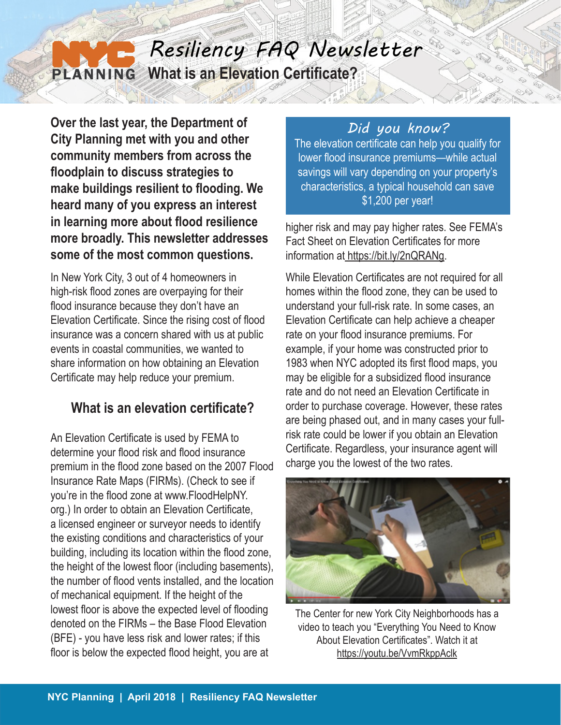#### *Resiliency FAQ Newsletter* **What is an Elevation Certificate?**  PLANNING

**Over the last year, the Department of City Planning met with you and other community members from across the floodplain to discuss strategies to make buildings resilient to flooding. We heard many of you express an interest in learning more about flood resilience more broadly. This newsletter addresses some of the most common questions.**

In New York City, 3 out of 4 homeowners in high-risk flood zones are overpaying for their flood insurance because they don't have an Elevation Certificate. Since the rising cost of flood insurance was a concern shared with us at public events in coastal communities, we wanted to share information on how obtaining an Elevation Certificate may help reduce your premium.

# **What is an elevation certificate?**

An Elevation Certificate is used by FEMA to determine your flood risk and flood insurance premium in the flood zone based on the 2007 Flood Insurance Rate Maps (FIRMs). (Check to see if you're in the flood zone at www.FloodHelpNY. org.) In order to obtain an Elevation Certificate, a licensed engineer or surveyor needs to identify the existing conditions and characteristics of your building, including its location within the flood zone, the height of the lowest floor (including basements), the number of flood vents installed, and the location of mechanical equipment. If the height of the lowest floor is above the expected level of flooding denoted on the FIRMs – the Base Flood Elevation (BFE) - you have less risk and lower rates; if this floor is below the expected flood height, you are at

### *Did you know?*

The elevation certificate can help you qualify for lower flood insurance premiums—while actual savings will vary depending on your property's characteristics, a typical household can save \$1,200 per year!

higher risk and may pay higher rates. See FEMA's Fact Sheet on Elevation Certificates for more information at https://bit.ly/2nQRANg.

While Elevation Certificates are not required for all homes within the flood zone, they can be used to understand your full-risk rate. In some cases, an Elevation Certificate can help achieve a cheaper rate on your flood insurance premiums. For example, if your home was constructed prior to 1983 when NYC adopted its first flood maps, you may be eligible for a subsidized flood insurance rate and do not need an Elevation Certificate in order to purchase coverage. However, these rates are being phased out, and in many cases your fullrisk rate could be lower if you obtain an Elevation Certificate. Regardless, your insurance agent will charge you the lowest of the two rates.



The Center for new York City Neighborhoods has a video to teach you "Everything You Need to Know About Elevation Certificates". Watch it at https://youtu.be/VvmRkppAclk